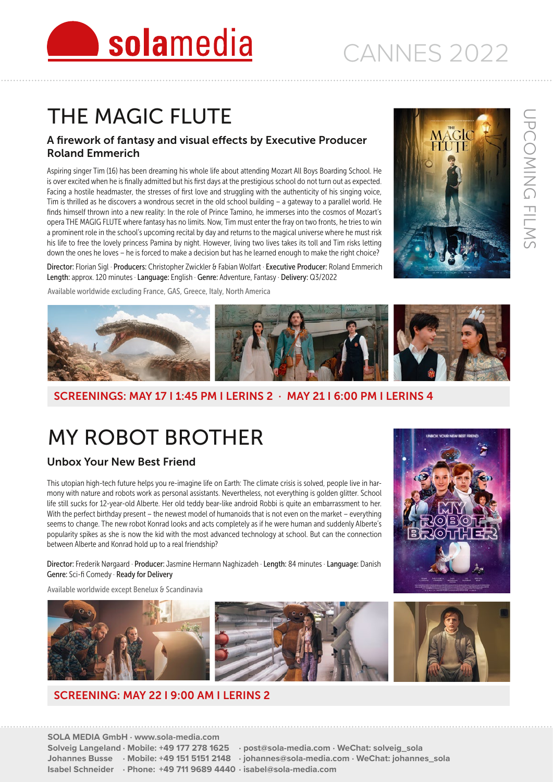# THE MAGIC FLUTE

#### A firework of fantasy and visual effects by Executive Producer Roland Emmerich

solamedia

Aspiring singer Tim (16) has been dreaming his whole life about attending Mozart All Boys Boarding School. He is over excited when he is finally admitted but his first days at the prestigious school do not turn out as expected. Facing a hostile headmaster, the stresses of first love and struggling with the authenticity of his singing voice, Tim is thrilled as he discovers a wondrous secret in the old school building – a gateway to a parallel world. He finds himself thrown into a new reality: In the role of Prince Tamino, he immerses into the cosmos of Mozart's opera THE MAGIG FLUTE where fantasy has no limits. Now, Tim must enter the fray on two fronts, he tries to win a prominent role in the school's upcoming recital by day and returns to the magical universe where he must risk his life to free the lovely princess Pamina by night. However, living two lives takes its toll and Tim risks letting down the ones he loves – he is forced to make a decision but has he learned enough to make the right choice?

Director: Florian Sigl · Producers: Christopher Zwickler & Fabian Wolfart · Executive Producer: Roland Emmerich Length: approx. 120 minutes · Language: English · Genre: Adventure, Fantasy · Delivery: Q3/2022

Available worldwide excluding France, GAS, Greece, Italy, North America









#### SCREENINGS: MAY 17 I 1:45 PM I LERINS 2 · MAY 21 I 6:00 PM I LERINS 4

## MY ROBOT BROTHER

#### Unbox Your New Best Friend

This utopian high-tech future helps you re-imagine life on Earth: The climate crisis is solved, people live in harmony with nature and robots work as personal assistants. Nevertheless, not everything is golden glitter. School life still sucks for 12-year-old Alberte. Her old teddy bear-like android Robbi is quite an embarrassment to her. With the perfect birthday present – the newest model of humanoids that is not even on the market – everything seems to change. The new robot Konrad looks and acts completely as if he were human and suddenly Alberte's popularity spikes as she is now the kid with the most advanced technology at school. But can the connection between Alberte and Konrad hold up to a real friendship?

Director: Frederik Nørgaard · Producer: Jasmine Hermann Naghizadeh · Length: 84 minutes · Language: Danish Genre: Sci-fi Comedy · Ready for Delivery

Available worldwide except Benelux & Scandinavia



#### SCREENING: MAY 22 I 9:00 AM I LERINS 2



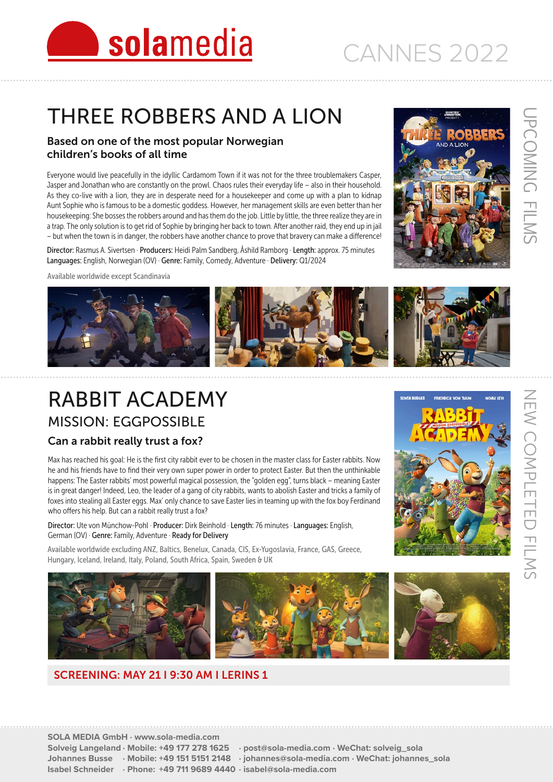

## THREE ROBBERS AND A LION

#### Based on one of the most popular Norwegian children's books of all time

Everyone would live peacefully in the idyllic Cardamom Town if it was not for the three troublemakers Casper, Jasper and Jonathan who are constantly on the prowl. Chaos rules their everyday life – also in their household. As they co-live with a lion, they are in desperate need for a housekeeper and come up with a plan to kidnap Aunt Sophie who is famous to be a domestic goddess. However, her management skills are even better than her housekeeping: She bosses the robbers around and has them do the job. Little by little, the three realize they are in a trap. The only solution is to get rid of Sophie by bringing her back to town. After another raid, they end up in jail – but when the town is in danger, the robbers have another chance to prove that bravery can make a difference!

Director: Rasmus A. Sivertsen · Producers: Heidi Palm Sandberg, Åshild Ramborg · Length: approx. 75 minutes Languages: English, Norwegian (OV) · Genre: Family, Comedy, Adventure · Delivery: Q1/2024





### RABBIT ACADEMY MISSION: EGGPOSSIBLE

#### Can a rabbit really trust a fox?

Max has reached his goal: He is the first city rabbit ever to be chosen in the master class for Easter rabbits. Now he and his friends have to find their very own super power in order to protect Easter. But then the unthinkable happens: The Easter rabbits' most powerful magical possession, the "golden egg", turns black – meaning Easter is in great danger! Indeed, Leo, the leader of a gang of city rabbits, wants to abolish Easter and tricks a family of foxes into stealing all Easter eggs. Max' only chance to save Easter lies in teaming up with the fox boy Ferdinand who offers his help. But can a rabbit really trust a fox?

Director: Ute von Münchow-Pohl · Producer: Dirk Beinhold · Length: 76 minutes · Languages: English, German (OV) · Genre: Family, Adventure · Ready for Delivery

Available worldwide excluding ANZ, Baltics, Benelux, Canada, CIS, Ex-Yugoslavia, France, GAS, Greece, Hungary, Iceland, Ireland, Italy, Poland, South Africa, Spain, Sweden & UK

![](_page_1_Picture_13.jpeg)

#### SCREENING: MAY 21 I 9:30 AM I LERINS 1

![](_page_1_Picture_16.jpeg)

UPCOMING FILMS

JPCOMING FILMS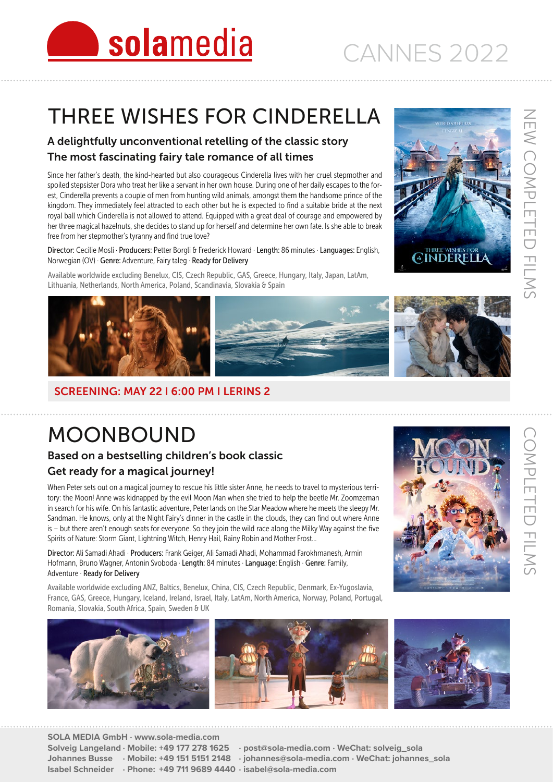## THREE WISHES FOR CINDERELLA

#### A delightfully unconventional retelling of the classic story The most fascinating fairy tale romance of all times

Since her father's death, the kind-hearted but also courageous Cinderella lives with her cruel stepmother and spoiled stepsister Dora who treat her like a servant in her own house. During one of her daily escapes to the for est, Cinderella prevents a couple of men from hunting wild animals, amongst them the handsome prince of the kingdom. They immediately feel attracted to each other but he is expected to find a suitable bride at the next royal ball which Cinderella is not allowed to attend. Equipped with a great deal of courage and empowered by her three magical hazelnuts, she decides to stand up for herself and determine her own fate. Is she able to break free from her stepmother's tyranny and find true love?

Director: Cecilie Mosli · Producers: Petter Borgli & Frederick Howard · Length: 86 minutes · Languages: English, Norwegian (OV) · Genre: Adventure, Fairy taleg · Ready for Delivery

Available worldwide excluding Benelux, CIS, Czech Republic, GAS, Greece, Hungary, Italy, Japan, LatAm, Lithuania, Netherlands, North America, Poland, Scandinavia, Slovakia & Spain

![](_page_2_Picture_7.jpeg)

#### SCREENING: MAY 22 I 6:00 PM I LERINS 2

MOONBOUND

#### Based on a bestselling children's book classic Get ready for a magical journey!

When Peter sets out on a magical journey to rescue his little sister Anne, he needs to travel to mysterious terri tory: the Moon! Anne was kidnapped by the evil Moon Man when she tried to help the beetle Mr. Zoomzeman in search for his wife. On his fantastic adventure, Peter lands on the Star Meadow where he meets the sleepy Mr. Sandman. He knows, only at the Night Fairy's dinner in the castle in the clouds, they can find out where Anne is – but there aren't enough seats for everyone. So they join the wild race along the Milky Way against the five Spirits of Nature: Storm Giant, Lightning Witch, Henry Hail, Rainy Robin and Mother Frost…

Director: Ali Samadi Ahadi · Producers: Frank Geiger, Ali Samadi Ahadi, Mohammad Farokhmanesh, Armin Hofmann, Bruno Wagner, Antonin Svoboda · Length: 84 minutes · Language: English · Genre: Family, Adventure · Ready for Delivery

Available worldwide excluding ANZ, Baltics, Benelux, China, CIS, Czech Republic, Denmark, Ex-Yugoslavia, France, GAS, Greece, Hungary, Iceland, Ireland, Israel, Italy, LatAm, North America, Norway, Poland, Portugal, Romania, Slovakia, South Africa, Spain, Sweden & UK

![](_page_2_Picture_14.jpeg)

....................

**SOLA MEDIA GmbH · www.sola-media.com Solveig Langeland · Mobile: +49 177 278 1625 · post@sola-media.com · WeChat: solveig\_sola Johannes Busse · Mobile: +49 151 5151 2148 · johannes@sola-media.com · WeChat: johannes\_sola Isabel Schneider · Phone: +49 711 9689 4440 · isabel@sola-media.com**

![](_page_2_Picture_16.jpeg)

NEW COMPLETED FILMS

NEW COMPLETED FILMS

![](_page_2_Picture_18.jpeg)

![](_page_2_Picture_19.jpeg)

![](_page_2_Picture_20.jpeg)